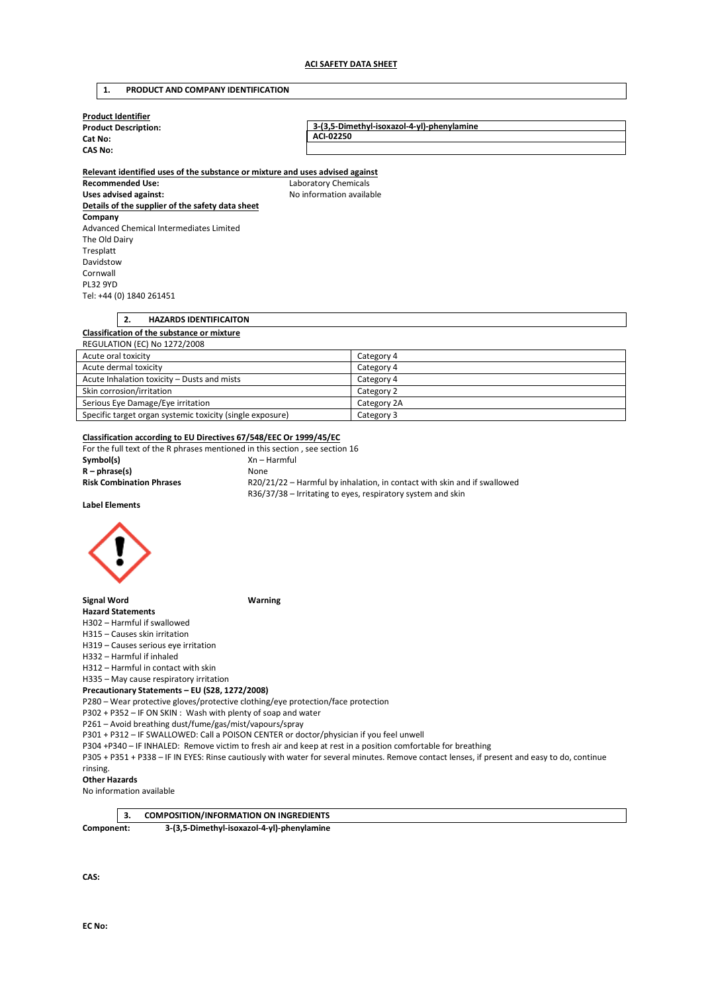# **1. PRODUCT AND COMPANY IDENTIFICATION**

| <b>Product Identifier</b>                                                     |                                                                          |  |
|-------------------------------------------------------------------------------|--------------------------------------------------------------------------|--|
| <b>Product Description:</b>                                                   | 3-(3,5-Dimethyl-isoxazol-4-yl)-phenylamine<br>ACI-02250                  |  |
| Cat No:                                                                       |                                                                          |  |
| <b>CAS No:</b>                                                                |                                                                          |  |
| Relevant identified uses of the substance or mixture and uses advised against |                                                                          |  |
| <b>Recommended Use:</b>                                                       |                                                                          |  |
| <b>Uses advised against:</b>                                                  | <b>Laboratory Chemicals</b><br>No information available                  |  |
| Details of the supplier of the safety data sheet                              |                                                                          |  |
| Company                                                                       |                                                                          |  |
| Advanced Chemical Intermediates Limited                                       |                                                                          |  |
| The Old Dairy                                                                 |                                                                          |  |
| Tresplatt                                                                     |                                                                          |  |
| Davidstow                                                                     |                                                                          |  |
| Cornwall                                                                      |                                                                          |  |
| <b>PL32 9YD</b>                                                               |                                                                          |  |
| Tel: +44 (0) 1840 261451                                                      |                                                                          |  |
|                                                                               |                                                                          |  |
| 2.<br><b>HAZARDS IDENTIFICAITON</b>                                           |                                                                          |  |
| Classification of the substance or mixture                                    |                                                                          |  |
| <b>REGULATION (EC) No 1272/2008</b>                                           |                                                                          |  |
| Acute oral toxicity                                                           | Category 4                                                               |  |
| Acute dermal toxicity                                                         | Category 4                                                               |  |
| Acute Inhalation toxicity - Dusts and mists                                   | Category 4                                                               |  |
| Skin corrosion/irritation                                                     | Category 2                                                               |  |
| Serious Eye Damage/Eye irritation                                             | Category 2A                                                              |  |
| Specific target organ systemic toxicity (single exposure)                     | Category 3                                                               |  |
|                                                                               |                                                                          |  |
| Classification according to EU Directives 67/548/EEC Or 1999/45/EC            |                                                                          |  |
| For the full text of the R phrases mentioned in this section, see section 16  |                                                                          |  |
| Symbol(s)                                                                     | Xn - Harmful                                                             |  |
| $R - phrase(s)$                                                               | None                                                                     |  |
| <b>Risk Combination Phrases</b>                                               | R20/21/22 - Harmful by inhalation, in contact with skin and if swallowed |  |
|                                                                               | R36/37/38 - Irritating to eyes, respiratory system and skin              |  |
| <b>Label Elements</b>                                                         |                                                                          |  |
|                                                                               |                                                                          |  |

**Signal Word Warning** 

**Hazard Statements**  H302 – Harmful if swallowed

H315 – Causes skin irritation

H319 – Causes serious eye irritation

H332 – Harmful if inhaled

H312 – Harmful in contact with skin

H335 – May cause respiratory irritation

# **Precautionary Statements – EU (S28, 1272/2008)**

P280 – Wear protective gloves/protective clothing/eye protection/face protection

P302 + P352 – IF ON SKIN : Wash with plenty of soap and water

P261 – Avoid breathing dust/fume/gas/mist/vapours/spray

P301 + P312 – IF SWALLOWED: Call a POISON CENTER or doctor/physician if you feel unwell

P304 +P340 – IF INHALED: Remove victim to fresh air and keep at rest in a position comfortable for breathing

P305 + P351 + P338 – IF IN EYES: Rinse cautiously with water for several minutes. Remove contact lenses, if present and easy to do, continue

#### rinsing. **Other Hazards**

No information available

# **3. COMPOSITION/INFORMATION ON INGREDIENTS**

**Component: 3-(3,5-Dimethyl-isoxazol-4-yl)-phenylamine** 

**CAS:**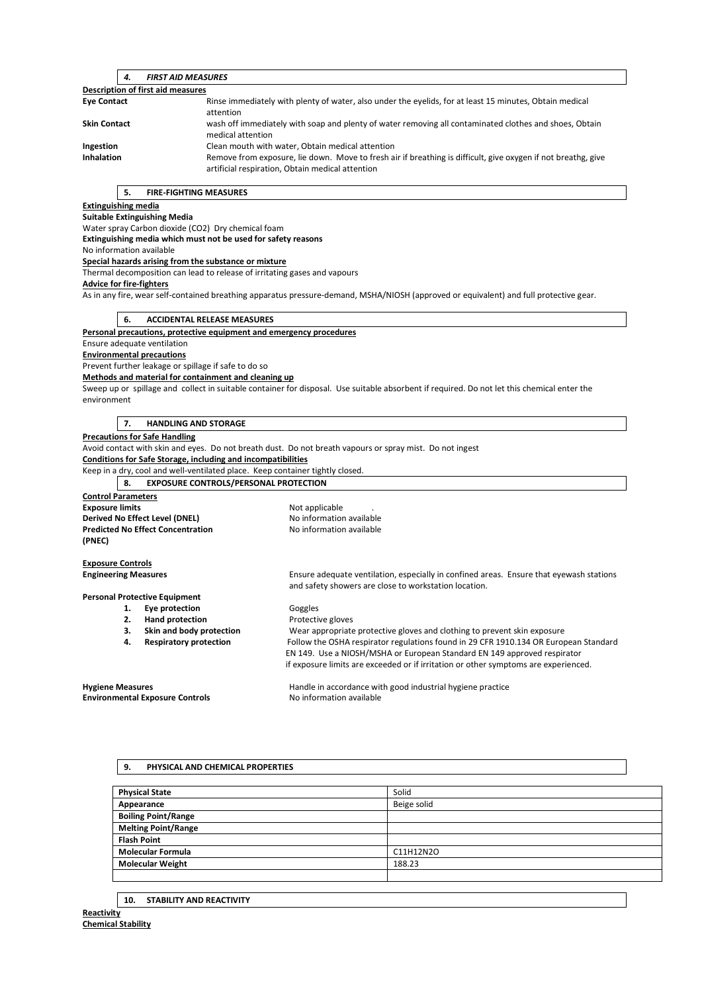| <b>FIRST AID MEASURES</b><br>4.          |                                                                                                                                                                   |  |  |
|------------------------------------------|-------------------------------------------------------------------------------------------------------------------------------------------------------------------|--|--|
| <b>Description of first aid measures</b> |                                                                                                                                                                   |  |  |
| <b>Eye Contact</b>                       | Rinse immediately with plenty of water, also under the eyelids, for at least 15 minutes, Obtain medical<br>attention                                              |  |  |
| <b>Skin Contact</b>                      | wash off immediately with soap and plenty of water removing all contaminated clothes and shoes, Obtain<br>medical attention                                       |  |  |
| Ingestion                                | Clean mouth with water, Obtain medical attention                                                                                                                  |  |  |
| <b>Inhalation</b>                        | Remove from exposure, lie down. Move to fresh air if breathing is difficult, give oxygen if not breathg, give<br>artificial respiration, Obtain medical attention |  |  |

## **5. FIRE-FIGHTING MEASURES**

#### **Extinguishing media**

**Suitable Extinguishing Media** 

Water spray Carbon dioxide (CO2) Dry chemical foam

**Extinguishing media which must not be used for safety reasons** 

No information available

#### **Special hazards arising from the substance or mixture**

Thermal decomposition can lead to release of irritating gases and vapours

# **Advice for fire-fighters**

As in any fire, wear self-contained breathing apparatus pressure-demand, MSHA/NIOSH (approved or equivalent) and full protective gear.

#### **6. ACCIDENTAL RELEASE MEASURES**

#### **Personal precautions, protective equipment and emergency procedures**

Ensure adequate ventilation

**Environmental precautions** 

Prevent further leakage or spillage if safe to do so

#### **Methods and material for containment and cleaning up**

Sweep up or spillage and collect in suitable container for disposal. Use suitable absorbent if required. Do not let this chemical enter the environment

#### **7. HANDLING AND STORAGE**

#### **Precautions for Safe Handling**

Avoid contact with skin and eyes. Do not breath dust. Do not breath vapours or spray mist. Do not ingest

**Conditions for Safe Storage, including and incompatibilities** 

Keep in a dry, cool and well-ventilated place. Keep container tightly closed.

**8. EXPOSURE CONTROLS/PERSONAL PROTECTION** 

| <b>Control Parameters</b>                          |                          |
|----------------------------------------------------|--------------------------|
| <b>Exposure limits</b>                             | Not applicable           |
| Derived No Effect Level (DNEL)                     | No information available |
| <b>Predicted No Effect Concentration</b><br>(PNEC) | No information available |
| <b>Exposure Controls</b>                           |                          |
| _ _                                                |                          |

**Engineering Measures** Ensure adequate ventilation, especially in confined areas. Ensure that eyewash stations and safety showers are close to workstation location.

1. **Eye protection Goggles** 

**2. Hand protection Protective gloves** 

**3. Skin and body protection** Wear appropriate protective gloves and clothing to prevent skin exposure **4. Respiratory protection** Follow the OSHA respirator regulations found in 29 CFR 1910.134 OR European Standard EN 149. Use a NIOSH/MSHA or European Standard EN 149 approved respirator if exposure limits are exceeded or if irritation or other symptoms are experienced.

**Personal Protective Equipment** 

**Hygiene Measures Handle in accordance with good industrial hygiene practice Handle in accordance with good industrial hygiene practice Environmental Exposure Controls No information available** 

## **9. PHYSICAL AND CHEMICAL PROPERTIES**

| <b>Physical State</b>      | Solid       |
|----------------------------|-------------|
| Appearance                 | Beige solid |
| <b>Boiling Point/Range</b> |             |
| <b>Melting Point/Range</b> |             |
| <b>Flash Point</b>         |             |
| <b>Molecular Formula</b>   | C11H12N2O   |
| <b>Molecular Weight</b>    | 188.23      |
|                            |             |

**10. STABILITY AND REACTIVITY**